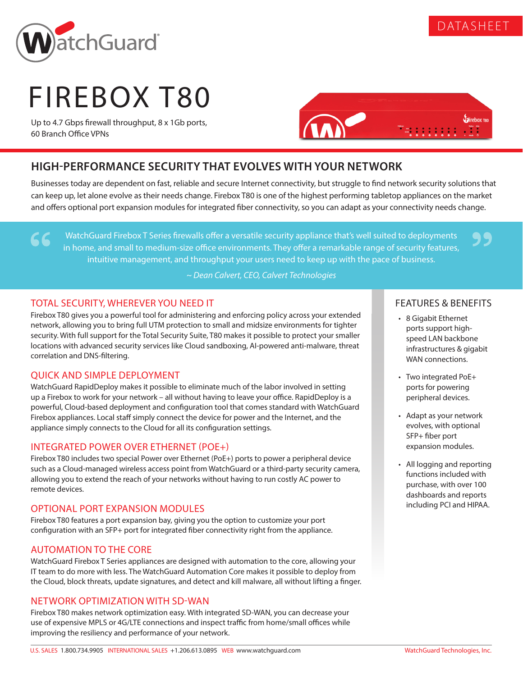

66

# FIREBOX T80

Up to 4.7 Gbps firewall throughput, 8 x 1Gb ports, 60 Branch Office VPNs



## **HIGH-PERFORMANCE SECURITY THAT EVOLVES WITH YOUR NETWORK**

Businesses today are dependent on fast, reliable and secure Internet connectivity, but struggle to find network security solutions that can keep up, let alone evolve as their needs change. Firebox T80 is one of the highest performing tabletop appliances on the market and offers optional port expansion modules for integrated fiber connectivity, so you can adapt as your connectivity needs change.

WatchGuard Firebox T Series firewalls offer a versatile security appliance that's well suited to deployments in home, and small to medium-size office environments. They offer a remarkable range of security features, intuitive management, and throughput your users need to keep up with the pace of business.

*~ Dean Calvert, CEO, Calvert Technologies*

### TOTAL SECURITY, WHEREVER YOU NEED IT

Firebox T80 gives you a powerful tool for administering and enforcing policy across your extended network, allowing you to bring full UTM protection to small and midsize environments for tighter security. With full support for the Total Security Suite, T80 makes it possible to protect your smaller locations with advanced security services like Cloud sandboxing, AI-powered anti-malware, threat correlation and DNS-filtering.

#### QUICK AND SIMPLE DEPLOYMENT

WatchGuard RapidDeploy makes it possible to eliminate much of the labor involved in setting up a Firebox to work for your network – all without having to leave your office. RapidDeploy is a powerful, Cloud-based deployment and configuration tool that comes standard with WatchGuard Firebox appliances. Local staff simply connect the device for power and the Internet, and the appliance simply connects to the Cloud for all its configuration settings.

#### INTEGRATED POWER OVER ETHERNET (POE+)

Firebox T80 includes two special Power over Ethernet (PoE+) ports to power a peripheral device such as a Cloud-managed wireless access point from WatchGuard or a third-party security camera, allowing you to extend the reach of your networks without having to run costly AC power to remote devices.

#### OPTIONAL PORT EXPANSION MODULES

Firebox T80 features a port expansion bay, giving you the option to customize your port configuration with an SFP+ port for integrated fiber connectivity right from the appliance.

#### AUTOMATION TO THE CORE

WatchGuard Firebox T Series appliances are designed with automation to the core, allowing your IT team to do more with less. The WatchGuard Automation Core makes it possible to deploy from the Cloud, block threats, update signatures, and detect and kill malware, all without lifting a finger.

#### NETWORK OPTIMIZATION WITH SD-WAN

Firebox T80 makes network optimization easy. With integrated SD-WAN, you can decrease your use of expensive MPLS or 4G/LTE connections and inspect traffic from home/small offices while improving the resiliency and performance of your network.

#### FEATURES & BENEFITS

99

DATASHEET

- 8 Gigabit Ethernet ports support highspeed LAN backbone infrastructures & gigabit WAN connections.
- Two integrated PoE+ ports for powering peripheral devices.
- Adapt as your network evolves, with optional SFP+ fiber port expansion modules.
- All logging and reporting functions included with purchase, with over 100 dashboards and reports including PCI and HIPAA.